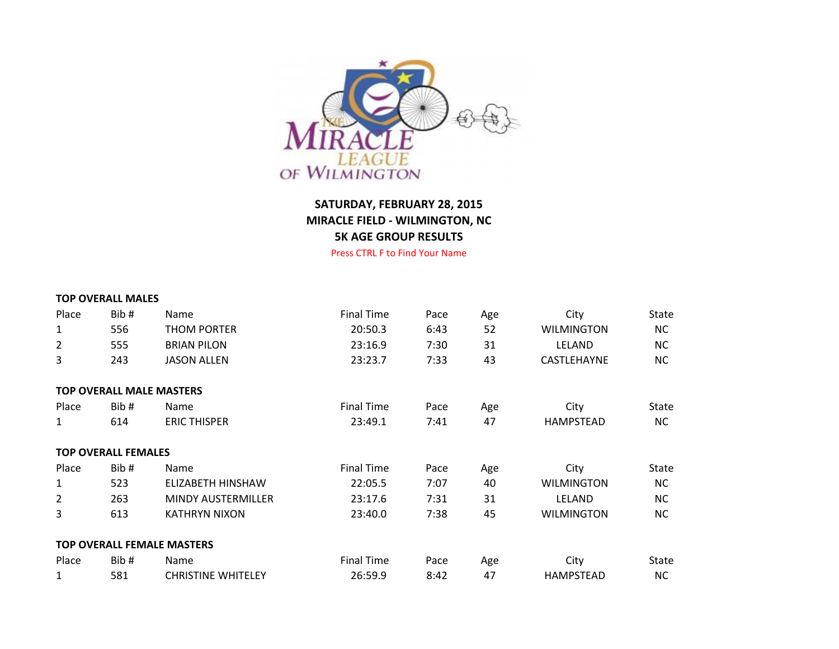

## **SATURDAY, FEBRUARY 28, 2015 MIRACLE FIELD - WILMINGTON, NC 5K AGE GROUP RESULTS**

Press CTRL F to Find Your Name

|                | <b>TOP OVERALL MALES</b>   |                                   |                   |      |     |                   |           |
|----------------|----------------------------|-----------------------------------|-------------------|------|-----|-------------------|-----------|
| Place          | Bib#                       | Name                              | <b>Final Time</b> | Pace | Age | City              | State     |
| $\mathbf{1}$   | 556                        | <b>THOM PORTER</b>                | 20:50.3           | 6:43 | 52  | <b>WILMINGTON</b> | <b>NC</b> |
| $\overline{2}$ | 555                        | <b>BRIAN PILON</b>                | 23:16.9           | 7:30 | 31  | LELAND            | <b>NC</b> |
| 3              | 243                        | <b>JASON ALLEN</b>                | 23:23.7           | 7:33 | 43  | CASTLEHAYNE       | <b>NC</b> |
|                |                            | <b>TOP OVERALL MALE MASTERS</b>   |                   |      |     |                   |           |
| Place          | Bib#                       | Name                              | <b>Final Time</b> | Pace | Age | City              | State     |
| $\mathbf{1}$   | 614                        | <b>ERIC THISPER</b>               | 23:49.1           | 7:41 | 47  | <b>HAMPSTEAD</b>  | <b>NC</b> |
|                | <b>TOP OVERALL FEMALES</b> |                                   |                   |      |     |                   |           |
| Place          | Bib#                       | Name                              | <b>Final Time</b> | Pace | Age | City              | State     |
| 1              | 523                        | ELIZABETH HINSHAW                 | 22:05.5           | 7:07 | 40  | <b>WILMINGTON</b> | <b>NC</b> |
| $\overline{2}$ | 263                        | MINDY AUSTERMILLER                | 23:17.6           | 7:31 | 31  | <b>LELAND</b>     | <b>NC</b> |
| 3              | 613                        | <b>KATHRYN NIXON</b>              | 23:40.0           | 7:38 | 45  | <b>WILMINGTON</b> | <b>NC</b> |
|                |                            | <b>TOP OVERALL FEMALE MASTERS</b> |                   |      |     |                   |           |
| Place          | Bib#                       | <b>Name</b>                       | <b>Final Time</b> | Pace | Age | City              | State     |
| $\mathbf{1}$   | 581                        | <b>CHRISTINE WHITELEY</b>         | 26:59.9           | 8:42 | 47  | <b>HAMPSTEAD</b>  | <b>NC</b> |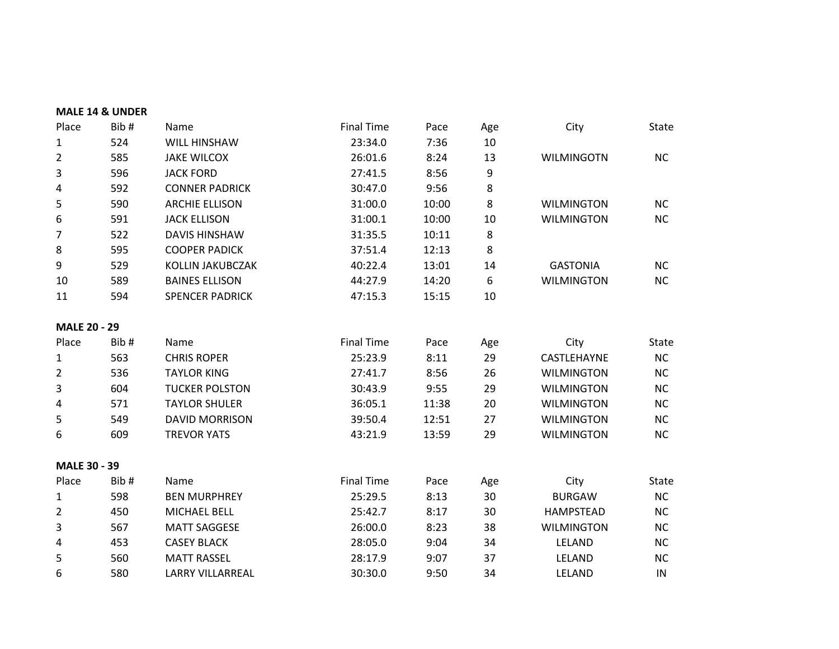|                     | <b>MALE 14 &amp; UNDER</b> |                         |                   |       |     |                   |              |
|---------------------|----------------------------|-------------------------|-------------------|-------|-----|-------------------|--------------|
| Place               | Bib#                       | Name                    | <b>Final Time</b> | Pace  | Age | City              | State        |
| $\mathbf{1}$        | 524                        | WILL HINSHAW            | 23:34.0           | 7:36  | 10  |                   |              |
| 2                   | 585                        | <b>JAKE WILCOX</b>      | 26:01.6           | 8:24  | 13  | <b>WILMINGOTN</b> | <b>NC</b>    |
| 3                   | 596                        | <b>JACK FORD</b>        | 27:41.5           | 8:56  | 9   |                   |              |
| 4                   | 592                        | <b>CONNER PADRICK</b>   | 30:47.0           | 9:56  | 8   |                   |              |
| 5                   | 590                        | <b>ARCHIE ELLISON</b>   | 31:00.0           | 10:00 | 8   | <b>WILMINGTON</b> | <b>NC</b>    |
| 6                   | 591                        | <b>JACK ELLISON</b>     | 31:00.1           | 10:00 | 10  | <b>WILMINGTON</b> | <b>NC</b>    |
| 7                   | 522                        | <b>DAVIS HINSHAW</b>    | 31:35.5           | 10:11 | 8   |                   |              |
| 8                   | 595                        | <b>COOPER PADICK</b>    | 37:51.4           | 12:13 | 8   |                   |              |
| 9                   | 529                        | KOLLIN JAKUBCZAK        | 40:22.4           | 13:01 | 14  | <b>GASTONIA</b>   | <b>NC</b>    |
| 10                  | 589                        | <b>BAINES ELLISON</b>   | 44:27.9           | 14:20 | 6   | <b>WILMINGTON</b> | <b>NC</b>    |
| 11                  | 594                        | <b>SPENCER PADRICK</b>  | 47:15.3           | 15:15 | 10  |                   |              |
| <b>MALE 20 - 29</b> |                            |                         |                   |       |     |                   |              |
| Place               | Bib#                       | Name                    | <b>Final Time</b> | Pace  | Age | City              | <b>State</b> |
| $\mathbf{1}$        | 563                        | <b>CHRIS ROPER</b>      | 25:23.9           | 8:11  | 29  | CASTLEHAYNE       | <b>NC</b>    |
| 2                   | 536                        | <b>TAYLOR KING</b>      | 27:41.7           | 8:56  | 26  | <b>WILMINGTON</b> | <b>NC</b>    |
| 3                   | 604                        | <b>TUCKER POLSTON</b>   | 30:43.9           | 9:55  | 29  | <b>WILMINGTON</b> | <b>NC</b>    |
| 4                   | 571                        | <b>TAYLOR SHULER</b>    | 36:05.1           | 11:38 | 20  | <b>WILMINGTON</b> | <b>NC</b>    |
| 5                   | 549                        | <b>DAVID MORRISON</b>   | 39:50.4           | 12:51 | 27  | <b>WILMINGTON</b> | <b>NC</b>    |
| 6                   | 609                        | <b>TREVOR YATS</b>      | 43:21.9           | 13:59 | 29  | <b>WILMINGTON</b> | <b>NC</b>    |
| <b>MALE 30 - 39</b> |                            |                         |                   |       |     |                   |              |
| Place               | Bib#                       | Name                    | <b>Final Time</b> | Pace  | Age | City              | <b>State</b> |
| $\mathbf{1}$        | 598                        | <b>BEN MURPHREY</b>     | 25:29.5           | 8:13  | 30  | <b>BURGAW</b>     | NC           |
| 2                   | 450                        | <b>MICHAEL BELL</b>     | 25:42.7           | 8:17  | 30  | <b>HAMPSTEAD</b>  | <b>NC</b>    |
| 3                   | 567                        | <b>MATT SAGGESE</b>     | 26:00.0           | 8:23  | 38  | <b>WILMINGTON</b> | <b>NC</b>    |
| 4                   | 453                        | <b>CASEY BLACK</b>      | 28:05.0           | 9:04  | 34  | LELAND            | <b>NC</b>    |
| 5                   | 560                        | <b>MATT RASSEL</b>      | 28:17.9           | 9:07  | 37  | LELAND            | <b>NC</b>    |
| 6                   | 580                        | <b>LARRY VILLARREAL</b> | 30:30.0           | 9:50  | 34  | LELAND            | IN           |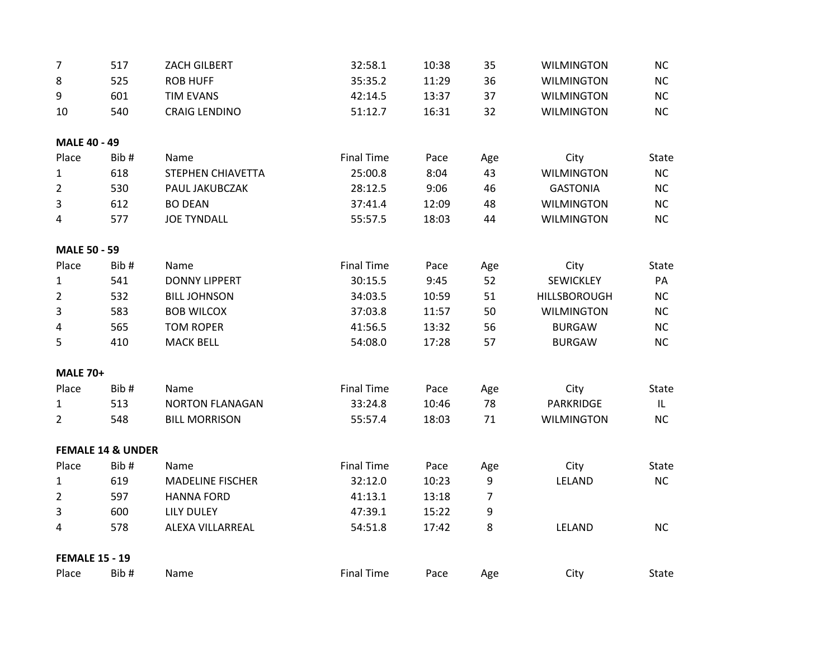| 7                     | 517                          | ZACH GILBERT            | 32:58.1           | 10:38 | 35             | <b>WILMINGTON</b>   | NC           |
|-----------------------|------------------------------|-------------------------|-------------------|-------|----------------|---------------------|--------------|
| 8                     | 525                          | <b>ROB HUFF</b>         | 35:35.2           | 11:29 | 36             | <b>WILMINGTON</b>   | NC           |
| 9                     | 601                          | <b>TIM EVANS</b>        | 42:14.5           | 13:37 | 37             | <b>WILMINGTON</b>   | NC           |
| 10                    | 540                          | <b>CRAIG LENDINO</b>    | 51:12.7           | 16:31 | 32             | <b>WILMINGTON</b>   | <b>NC</b>    |
| <b>MALE 40 - 49</b>   |                              |                         |                   |       |                |                     |              |
| Place                 | Bib#                         | Name                    | <b>Final Time</b> | Pace  | Age            | City                | <b>State</b> |
| $\mathbf{1}$          | 618                          | STEPHEN CHIAVETTA       | 25:00.8           | 8:04  | 43             | <b>WILMINGTON</b>   | NC           |
| $\overline{2}$        | 530                          | PAUL JAKUBCZAK          | 28:12.5           | 9:06  | 46             | <b>GASTONIA</b>     | NC           |
| $\overline{3}$        | 612                          | <b>BO DEAN</b>          | 37:41.4           | 12:09 | 48             | <b>WILMINGTON</b>   | NC           |
| 4                     | 577                          | <b>JOE TYNDALL</b>      | 55:57.5           | 18:03 | 44             | <b>WILMINGTON</b>   | <b>NC</b>    |
| <b>MALE 50 - 59</b>   |                              |                         |                   |       |                |                     |              |
| Place                 | Bib#                         | Name                    | <b>Final Time</b> | Pace  | Age            | City                | <b>State</b> |
| $\mathbf{1}$          | 541                          | <b>DONNY LIPPERT</b>    | 30:15.5           | 9:45  | 52             | SEWICKLEY           | PA           |
| $\overline{2}$        | 532                          | <b>BILL JOHNSON</b>     | 34:03.5           | 10:59 | 51             | <b>HILLSBOROUGH</b> | <b>NC</b>    |
| 3                     | 583                          | <b>BOB WILCOX</b>       | 37:03.8           | 11:57 | 50             | <b>WILMINGTON</b>   | NC           |
| 4                     | 565                          | <b>TOM ROPER</b>        | 41:56.5           | 13:32 | 56             | <b>BURGAW</b>       | NC           |
| 5                     | 410                          | <b>MACK BELL</b>        | 54:08.0           | 17:28 | 57             | <b>BURGAW</b>       | NC           |
| <b>MALE 70+</b>       |                              |                         |                   |       |                |                     |              |
| Place                 | Bib#                         | Name                    | <b>Final Time</b> | Pace  | Age            | City                | State        |
| $\mathbf{1}$          | 513                          | <b>NORTON FLANAGAN</b>  | 33:24.8           | 10:46 | 78             | <b>PARKRIDGE</b>    | IL.          |
| $\overline{2}$        | 548                          | <b>BILL MORRISON</b>    | 55:57.4           | 18:03 | 71             | <b>WILMINGTON</b>   | NC           |
|                       | <b>FEMALE 14 &amp; UNDER</b> |                         |                   |       |                |                     |              |
| Place                 | Bib#                         | Name                    | <b>Final Time</b> | Pace  | Age            | City                | State        |
| $\mathbf{1}$          | 619                          | <b>MADELINE FISCHER</b> | 32:12.0           | 10:23 | $9\,$          | LELAND              | NC           |
| $\overline{2}$        | 597                          | <b>HANNA FORD</b>       | 41:13.1           | 13:18 | $\overline{7}$ |                     |              |
| 3                     | 600                          | <b>LILY DULEY</b>       | 47:39.1           | 15:22 | 9              |                     |              |
| 4                     | 578                          | ALEXA VILLARREAL        | 54:51.8           | 17:42 | 8              | LELAND              | <b>NC</b>    |
| <b>FEMALE 15 - 19</b> |                              |                         |                   |       |                |                     |              |
| Place                 | Bib#                         | Name                    | <b>Final Time</b> | Pace  | Age            | City                | State        |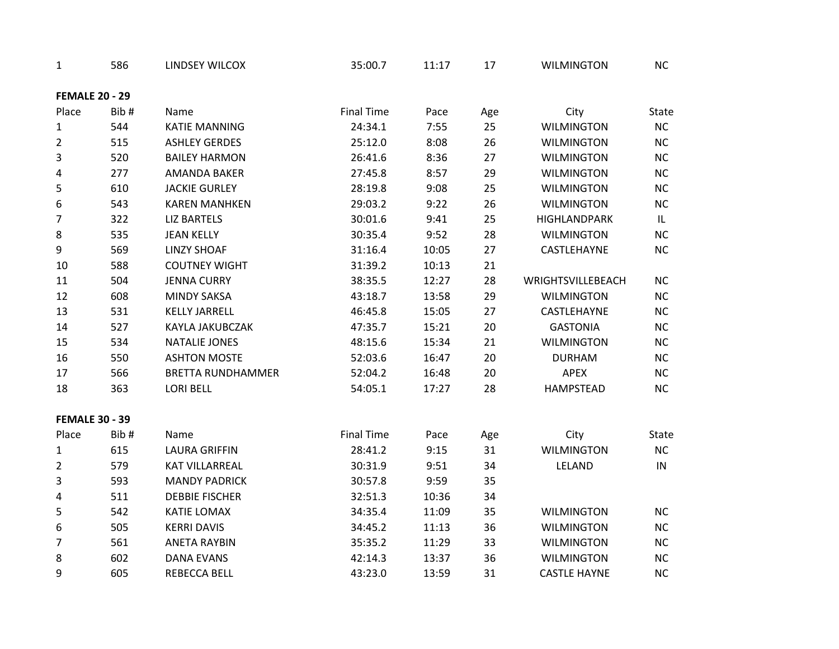| 1                     | 586  | <b>LINDSEY WILCOX</b>    | 35:00.7           | 11:17 | 17  | <b>WILMINGTON</b>   | <b>NC</b> |
|-----------------------|------|--------------------------|-------------------|-------|-----|---------------------|-----------|
| <b>FEMALE 20 - 29</b> |      |                          |                   |       |     |                     |           |
| Place                 | Bib# | Name                     | <b>Final Time</b> | Pace  | Age | City                | State     |
| $\mathbf{1}$          | 544  | <b>KATIE MANNING</b>     | 24:34.1           | 7:55  | 25  | <b>WILMINGTON</b>   | NC        |
| $\overline{2}$        | 515  | <b>ASHLEY GERDES</b>     | 25:12.0           | 8:08  | 26  | <b>WILMINGTON</b>   | NC        |
| 3                     | 520  | <b>BAILEY HARMON</b>     | 26:41.6           | 8:36  | 27  | <b>WILMINGTON</b>   | NC        |
| 4                     | 277  | <b>AMANDA BAKER</b>      | 27:45.8           | 8:57  | 29  | <b>WILMINGTON</b>   | NC        |
| 5                     | 610  | <b>JACKIE GURLEY</b>     | 28:19.8           | 9:08  | 25  | <b>WILMINGTON</b>   | NC        |
| 6                     | 543  | <b>KAREN MANHKEN</b>     | 29:03.2           | 9:22  | 26  | <b>WILMINGTON</b>   | NC        |
| $\overline{7}$        | 322  | <b>LIZ BARTELS</b>       | 30:01.6           | 9:41  | 25  | <b>HIGHLANDPARK</b> | IL.       |
| $\,8\,$               | 535  | <b>JEAN KELLY</b>        | 30:35.4           | 9:52  | 28  | <b>WILMINGTON</b>   | <b>NC</b> |
| 9                     | 569  | <b>LINZY SHOAF</b>       | 31:16.4           | 10:05 | 27  | CASTLEHAYNE         | NC        |
| 10                    | 588  | <b>COUTNEY WIGHT</b>     | 31:39.2           | 10:13 | 21  |                     |           |
| 11                    | 504  | <b>JENNA CURRY</b>       | 38:35.5           | 12:27 | 28  | WRIGHTSVILLEBEACH   | <b>NC</b> |
| 12                    | 608  | <b>MINDY SAKSA</b>       | 43:18.7           | 13:58 | 29  | <b>WILMINGTON</b>   | NC        |
| 13                    | 531  | <b>KELLY JARRELL</b>     | 46:45.8           | 15:05 | 27  | CASTLEHAYNE         | NC        |
| 14                    | 527  | KAYLA JAKUBCZAK          | 47:35.7           | 15:21 | 20  | <b>GASTONIA</b>     | NC        |
| 15                    | 534  | <b>NATALIE JONES</b>     | 48:15.6           | 15:34 | 21  | <b>WILMINGTON</b>   | NC        |
| 16                    | 550  | <b>ASHTON MOSTE</b>      | 52:03.6           | 16:47 | 20  | <b>DURHAM</b>       | NC        |
| $17\,$                | 566  | <b>BRETTA RUNDHAMMER</b> | 52:04.2           | 16:48 | 20  | <b>APEX</b>         | NC        |
| 18                    | 363  | <b>LORI BELL</b>         | 54:05.1           | 17:27 | 28  | <b>HAMPSTEAD</b>    | NC        |
| <b>FEMALE 30 - 39</b> |      |                          |                   |       |     |                     |           |
| Place                 | Bib# | Name                     | <b>Final Time</b> | Pace  | Age | City                | State     |
| $\mathbf{1}$          | 615  | <b>LAURA GRIFFIN</b>     | 28:41.2           | 9:15  | 31  | <b>WILMINGTON</b>   | NC        |
| $\overline{2}$        | 579  | <b>KAT VILLARREAL</b>    | 30:31.9           | 9:51  | 34  | LELAND              | IN        |
| 3                     | 593  | <b>MANDY PADRICK</b>     | 30:57.8           | 9:59  | 35  |                     |           |
| 4                     | 511  | <b>DEBBIE FISCHER</b>    | 32:51.3           | 10:36 | 34  |                     |           |
| 5                     | 542  | <b>KATIE LOMAX</b>       | 34:35.4           | 11:09 | 35  | <b>WILMINGTON</b>   | NC        |
| 6                     | 505  | <b>KERRI DAVIS</b>       | 34:45.2           | 11:13 | 36  | <b>WILMINGTON</b>   | NC        |
| $\overline{7}$        | 561  | <b>ANETA RAYBIN</b>      | 35:35.2           | 11:29 | 33  | <b>WILMINGTON</b>   | $NC$      |
| 8                     | 602  | <b>DANA EVANS</b>        | 42:14.3           | 13:37 | 36  | <b>WILMINGTON</b>   | <b>NC</b> |
| 9                     | 605  | <b>REBECCA BELL</b>      | 43:23.0           | 13:59 | 31  | <b>CASTLE HAYNE</b> | NC        |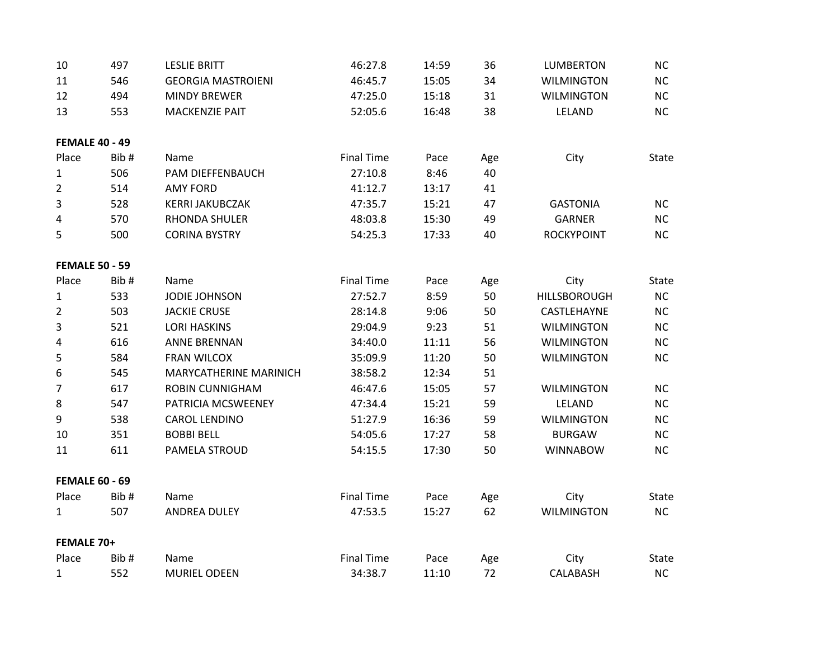| 10                    | 497  | <b>LESLIE BRITT</b>       | 46:27.8           | 14:59 | 36  | <b>LUMBERTON</b>    | NC           |
|-----------------------|------|---------------------------|-------------------|-------|-----|---------------------|--------------|
| 11                    | 546  | <b>GEORGIA MASTROIENI</b> | 46:45.7           | 15:05 | 34  | <b>WILMINGTON</b>   | NC           |
| 12                    | 494  | <b>MINDY BREWER</b>       | 47:25.0           | 15:18 | 31  | <b>WILMINGTON</b>   | <b>NC</b>    |
| 13                    | 553  | <b>MACKENZIE PAIT</b>     | 52:05.6           | 16:48 | 38  | LELAND              | NC           |
| <b>FEMALE 40 - 49</b> |      |                           |                   |       |     |                     |              |
| Place                 | Bib# | Name                      | <b>Final Time</b> | Pace  | Age | City                | State        |
| 1                     | 506  | PAM DIEFFENBAUCH          | 27:10.8           | 8:46  | 40  |                     |              |
| $\overline{2}$        | 514  | <b>AMY FORD</b>           | 41:12.7           | 13:17 | 41  |                     |              |
| 3                     | 528  | <b>KERRI JAKUBCZAK</b>    | 47:35.7           | 15:21 | 47  | <b>GASTONIA</b>     | NC           |
| 4                     | 570  | RHONDA SHULER             | 48:03.8           | 15:30 | 49  | <b>GARNER</b>       | NC           |
| 5                     | 500  | <b>CORINA BYSTRY</b>      | 54:25.3           | 17:33 | 40  | <b>ROCKYPOINT</b>   | NC           |
| <b>FEMALE 50 - 59</b> |      |                           |                   |       |     |                     |              |
| Place                 | Bib# | Name                      | <b>Final Time</b> | Pace  | Age | City                | State        |
| $\mathbf{1}$          | 533  | <b>JODIE JOHNSON</b>      | 27:52.7           | 8:59  | 50  | <b>HILLSBOROUGH</b> | NC           |
| $\overline{2}$        | 503  | <b>JACKIE CRUSE</b>       | 28:14.8           | 9:06  | 50  | CASTLEHAYNE         | NC           |
| 3                     | 521  | <b>LORI HASKINS</b>       | 29:04.9           | 9:23  | 51  | <b>WILMINGTON</b>   | <b>NC</b>    |
| 4                     | 616  | <b>ANNE BRENNAN</b>       | 34:40.0           | 11:11 | 56  | <b>WILMINGTON</b>   | NC           |
| 5                     | 584  | <b>FRAN WILCOX</b>        | 35:09.9           | 11:20 | 50  | <b>WILMINGTON</b>   | <b>NC</b>    |
| 6                     | 545  | MARYCATHERINE MARINICH    | 38:58.2           | 12:34 | 51  |                     |              |
| 7                     | 617  | <b>ROBIN CUNNIGHAM</b>    | 46:47.6           | 15:05 | 57  | <b>WILMINGTON</b>   | <b>NC</b>    |
| 8                     | 547  | PATRICIA MCSWEENEY        | 47:34.4           | 15:21 | 59  | LELAND              | NC           |
| 9                     | 538  | <b>CAROL LENDINO</b>      | 51:27.9           | 16:36 | 59  | <b>WILMINGTON</b>   | NC           |
| 10                    | 351  | <b>BOBBI BELL</b>         | 54:05.6           | 17:27 | 58  | <b>BURGAW</b>       | NC           |
| 11                    | 611  | PAMELA STROUD             | 54:15.5           | 17:30 | 50  | <b>WINNABOW</b>     | NC           |
| <b>FEMALE 60 - 69</b> |      |                           |                   |       |     |                     |              |
| Place                 | Bib# | Name                      | <b>Final Time</b> | Pace  | Age | City                | <b>State</b> |
| $\mathbf{1}$          | 507  | <b>ANDREA DULEY</b>       | 47:53.5           | 15:27 | 62  | <b>WILMINGTON</b>   | NC           |
| FEMALE 70+            |      |                           |                   |       |     |                     |              |
| Place                 | Bib# | Name                      | <b>Final Time</b> | Pace  | Age | City                | <b>State</b> |
| $\mathbf 1$           | 552  | <b>MURIEL ODEEN</b>       | 34:38.7           | 11:10 | 72  | <b>CALABASH</b>     | NC           |